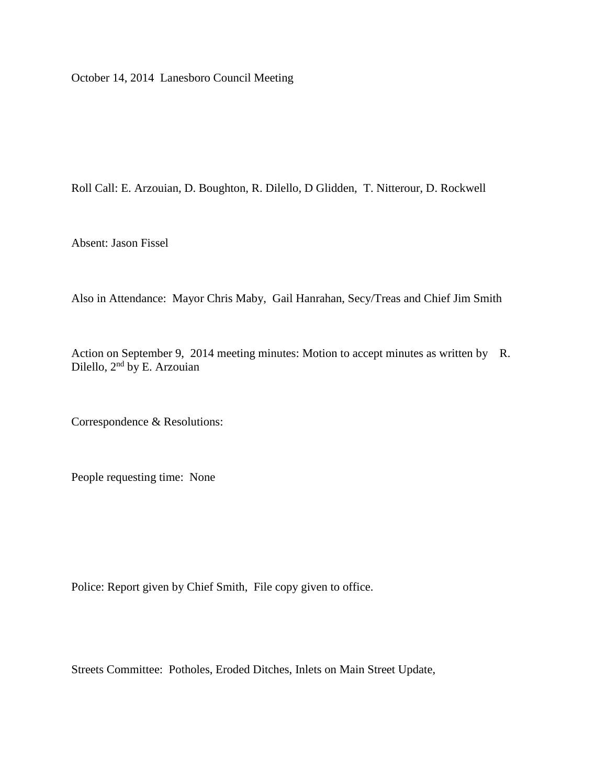October 14, 2014 Lanesboro Council Meeting

Roll Call: E. Arzouian, D. Boughton, R. Dilello, D Glidden, T. Nitterour, D. Rockwell

Absent: Jason Fissel

Also in Attendance: Mayor Chris Maby, Gail Hanrahan, Secy/Treas and Chief Jim Smith

Action on September 9, 2014 meeting minutes: Motion to accept minutes as written by R. Dilello, 2<sup>nd</sup> by E. Arzouian

Correspondence & Resolutions:

People requesting time: None

Police: Report given by Chief Smith, File copy given to office.

Streets Committee: Potholes, Eroded Ditches, Inlets on Main Street Update,